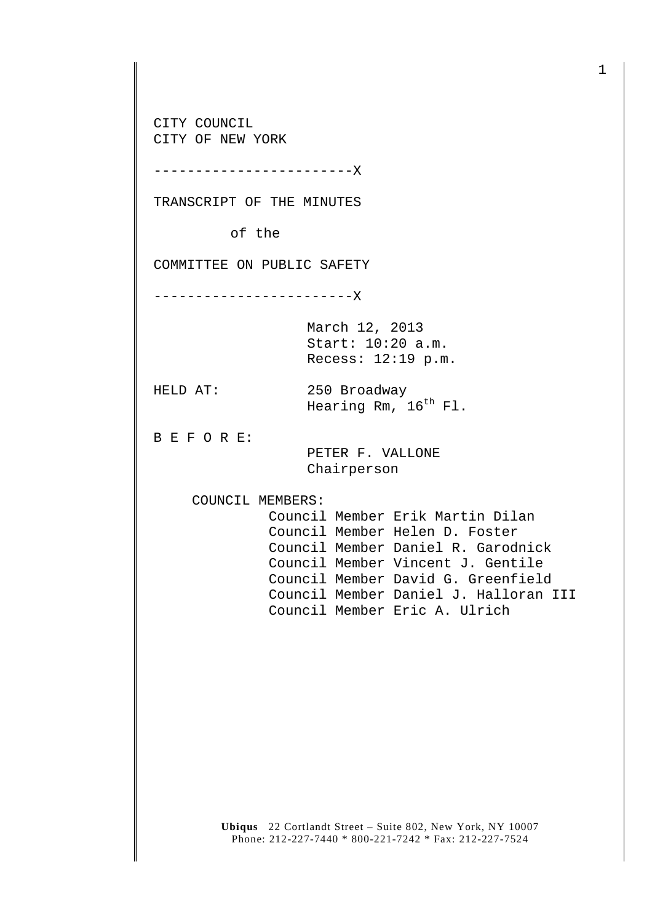CITY COUNCIL CITY OF NEW YORK

------------------------X

TRANSCRIPT OF THE MINUTES

of the

COMMITTEE ON PUBLIC SAFETY

------------------------X

March 12, 2013 Start: 10:20 a.m. Recess: 12:19 p.m.

HELD AT: 250 Broadway Hearing Rm, 16<sup>th</sup> Fl.

B E F O R E:

 PETER F. VALLONE Chairperson

COUNCIL MEMBERS:

 Council Member Erik Martin Dilan Council Member Helen D. Foster Council Member Daniel R. Garodnick Council Member Vincent J. Gentile Council Member David G. Greenfield Council Member Daniel J. Halloran III Council Member Eric A. Ulrich

**Ubiqus** 22 Cortlandt Street – Suite 802, New York, NY 10007 Phone: 212-227-7440 \* 800-221-7242 \* Fax: 212-227-7524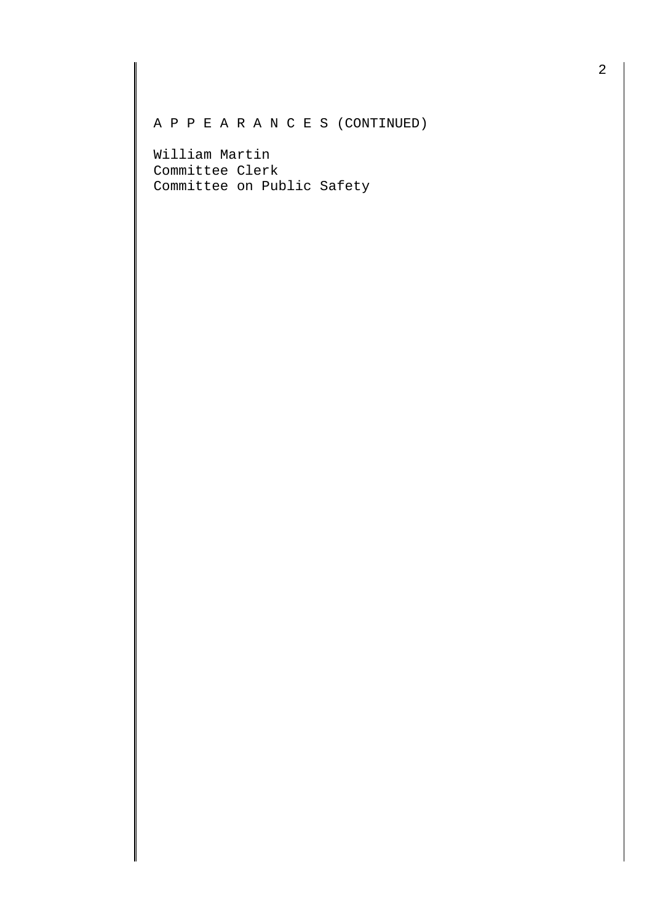A P P E A R A N C E S (CONTINUED)

William Martin Committee Clerk Committee on Public Safety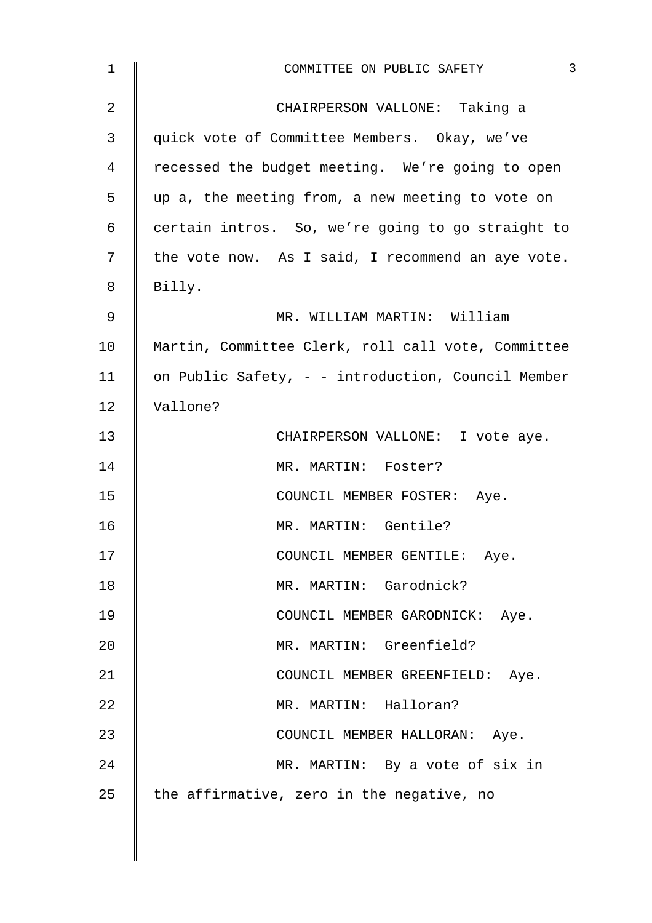| $\mathbf{1}$   | $\mathbf{3}$<br>COMMITTEE ON PUBLIC SAFETY         |  |  |  |  |  |
|----------------|----------------------------------------------------|--|--|--|--|--|
| $\overline{2}$ | CHAIRPERSON VALLONE: Taking a                      |  |  |  |  |  |
| 3              | quick vote of Committee Members. Okay, we've       |  |  |  |  |  |
| 4              | recessed the budget meeting. We're going to open   |  |  |  |  |  |
| 5              | up a, the meeting from, a new meeting to vote on   |  |  |  |  |  |
| 6              | certain intros. So, we're going to go straight to  |  |  |  |  |  |
| 7              | the vote now. As I said, I recommend an aye vote.  |  |  |  |  |  |
| 8              | Billy.                                             |  |  |  |  |  |
| 9              | MR. WILLIAM MARTIN: William                        |  |  |  |  |  |
| 10             | Martin, Committee Clerk, roll call vote, Committee |  |  |  |  |  |
| 11             | on Public Safety, - - introduction, Council Member |  |  |  |  |  |
| 12             | Vallone?                                           |  |  |  |  |  |
| 13             | CHAIRPERSON VALLONE: I vote aye.                   |  |  |  |  |  |
| 14             | MR. MARTIN: Foster?                                |  |  |  |  |  |
| 15             | COUNCIL MEMBER FOSTER: Aye.                        |  |  |  |  |  |
| 16             | MR. MARTIN: Gentile?                               |  |  |  |  |  |
| 17             | COUNCIL MEMBER GENTILE: Aye.                       |  |  |  |  |  |
| 18             | MR. MARTIN: Garodnick?                             |  |  |  |  |  |
| 19             | COUNCIL MEMBER GARODNICK: Aye.                     |  |  |  |  |  |
| 20             | MR. MARTIN: Greenfield?                            |  |  |  |  |  |
| 21             | COUNCIL MEMBER GREENFIELD: Aye.                    |  |  |  |  |  |
| 22             | MR. MARTIN: Halloran?                              |  |  |  |  |  |
| 23             | COUNCIL MEMBER HALLORAN: Aye.                      |  |  |  |  |  |
| 24             | MR. MARTIN: By a vote of six in                    |  |  |  |  |  |
| 25             | the affirmative, zero in the negative, no          |  |  |  |  |  |
|                |                                                    |  |  |  |  |  |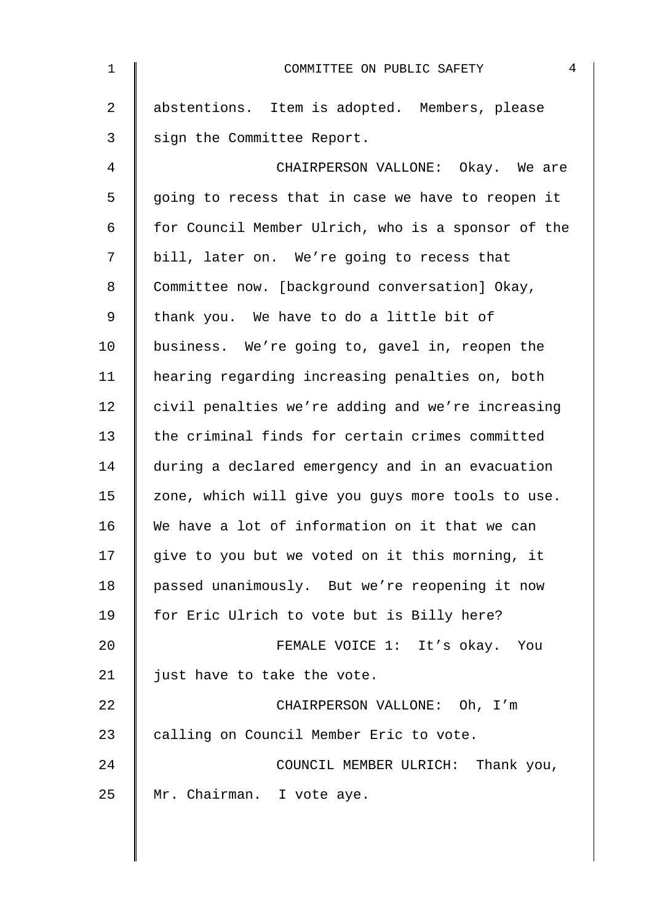| $\mathbf 1$    | 4<br>COMMITTEE ON PUBLIC SAFETY                    |  |  |  |  |
|----------------|----------------------------------------------------|--|--|--|--|
| $\overline{2}$ | abstentions. Item is adopted. Members, please      |  |  |  |  |
| 3              | sign the Committee Report.                         |  |  |  |  |
| 4              | CHAIRPERSON VALLONE: Okay. We are                  |  |  |  |  |
| 5              | going to recess that in case we have to reopen it  |  |  |  |  |
| 6              | for Council Member Ulrich, who is a sponsor of the |  |  |  |  |
| 7              | bill, later on. We're going to recess that         |  |  |  |  |
| 8              | Committee now. [background conversation] Okay,     |  |  |  |  |
| 9              | thank you. We have to do a little bit of           |  |  |  |  |
| 10             | business. We're going to, gavel in, reopen the     |  |  |  |  |
| 11             | hearing regarding increasing penalties on, both    |  |  |  |  |
| 12             | civil penalties we're adding and we're increasing  |  |  |  |  |
| 13             | the criminal finds for certain crimes committed    |  |  |  |  |
| 14             | during a declared emergency and in an evacuation   |  |  |  |  |
| 15             | zone, which will give you guys more tools to use.  |  |  |  |  |
| 16             | We have a lot of information on it that we can     |  |  |  |  |
| 17             | give to you but we voted on it this morning, it    |  |  |  |  |
| 18             | passed unanimously. But we're reopening it now     |  |  |  |  |
| 19             | for Eric Ulrich to vote but is Billy here?         |  |  |  |  |
| 20             | FEMALE VOICE 1: It's okay. You                     |  |  |  |  |
| 21             | just have to take the vote.                        |  |  |  |  |
| 22             | CHAIRPERSON VALLONE: Oh, I'm                       |  |  |  |  |
| 23             | calling on Council Member Eric to vote.            |  |  |  |  |
| 24             | COUNCIL MEMBER ULRICH: Thank you,                  |  |  |  |  |
| 25             | Mr. Chairman. I vote aye.                          |  |  |  |  |
|                |                                                    |  |  |  |  |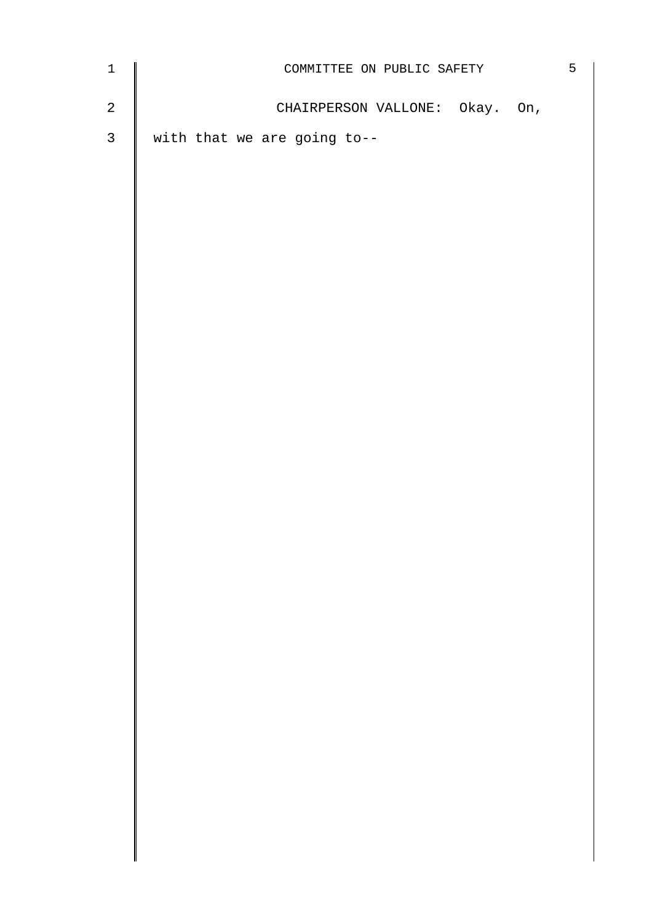| $\ensuremath{\mathbbm{1}}$ | COMMITTEE ON PUBLIC SAFETY     |  |  | $5\phantom{.0}$ |
|----------------------------|--------------------------------|--|--|-----------------|
| $\overline{a}$             | CHAIRPERSON VALLONE: Okay. On, |  |  |                 |
| $\mathfrak{Z}$             | with that we are going to--    |  |  |                 |
|                            |                                |  |  |                 |
|                            |                                |  |  |                 |
|                            |                                |  |  |                 |
|                            |                                |  |  |                 |
|                            |                                |  |  |                 |
|                            |                                |  |  |                 |
|                            |                                |  |  |                 |
|                            |                                |  |  |                 |
|                            |                                |  |  |                 |
|                            |                                |  |  |                 |
|                            |                                |  |  |                 |
|                            |                                |  |  |                 |
|                            |                                |  |  |                 |
|                            |                                |  |  |                 |
|                            |                                |  |  |                 |
|                            |                                |  |  |                 |
|                            |                                |  |  |                 |
|                            |                                |  |  |                 |
|                            |                                |  |  |                 |
|                            |                                |  |  |                 |
|                            |                                |  |  |                 |
|                            |                                |  |  |                 |
|                            |                                |  |  |                 |